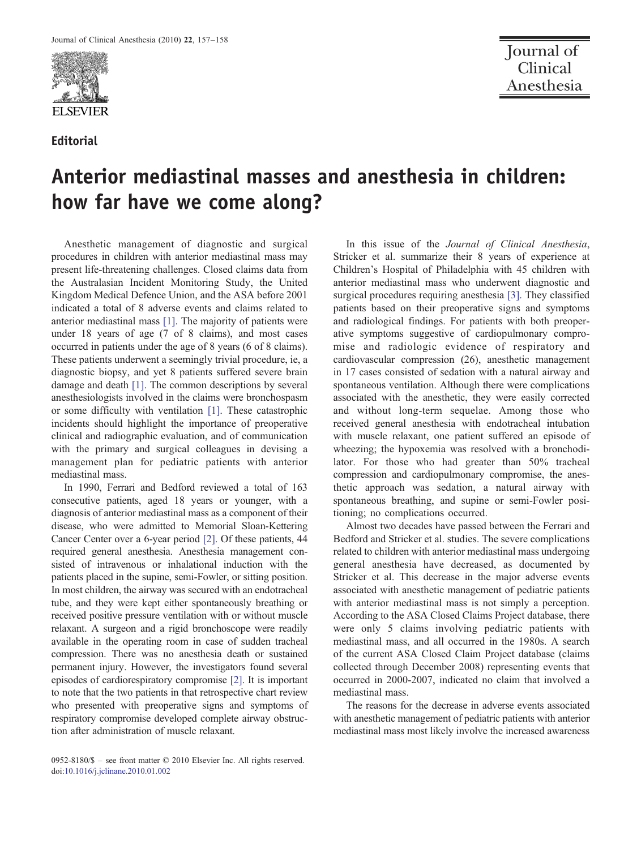

## Anterior mediastinal masses and anesthesia in children: how far have we come along?

Anesthetic management of diagnostic and surgical procedures in children with anterior mediastinal mass may present life-threatening challenges. Closed claims data from the Australasian Incident Monitoring Study, the United Kingdom Medical Defence Union, and the ASA before 2001 indicated a total of 8 adverse events and claims related to anterior mediastinal mass [\[1\]](#page-1-0). The majority of patients were under 18 years of age (7 of 8 claims), and most cases occurred in patients under the age of 8 years (6 of 8 claims). These patients underwent a seemingly trivial procedure, ie, a diagnostic biopsy, and yet 8 patients suffered severe brain damage and death [\[1\]](#page-1-0). The common descriptions by several anesthesiologists involved in the claims were bronchospasm or some difficulty with ventilation [\[1\]](#page-1-0). These catastrophic incidents should highlight the importance of preoperative clinical and radiographic evaluation, and of communication with the primary and surgical colleagues in devising a management plan for pediatric patients with anterior mediastinal mass.

In 1990, Ferrari and Bedford reviewed a total of 163 consecutive patients, aged 18 years or younger, with a diagnosis of anterior mediastinal mass as a component of their disease, who were admitted to Memorial Sloan-Kettering Cancer Center over a 6-year period [\[2\].](#page-1-0) Of these patients, 44 required general anesthesia. Anesthesia management consisted of intravenous or inhalational induction with the patients placed in the supine, semi-Fowler, or sitting position. In most children, the airway was secured with an endotracheal tube, and they were kept either spontaneously breathing or received positive pressure ventilation with or without muscle relaxant. A surgeon and a rigid bronchoscope were readily available in the operating room in case of sudden tracheal compression. There was no anesthesia death or sustained permanent injury. However, the investigators found several episodes of cardiorespiratory compromise [\[2\].](#page-1-0) It is important to note that the two patients in that retrospective chart review who presented with preoperative signs and symptoms of respiratory compromise developed complete airway obstruction after administration of muscle relaxant.

In this issue of the Journal of Clinical Anesthesia, Stricker et al. summarize their 8 years of experience at Children's Hospital of Philadelphia with 45 children with anterior mediastinal mass who underwent diagnostic and surgical procedures requiring anesthesia [\[3\]](#page-1-0). They classified patients based on their preoperative signs and symptoms and radiological findings. For patients with both preoperative symptoms suggestive of cardiopulmonary compromise and radiologic evidence of respiratory and cardiovascular compression (26), anesthetic management in 17 cases consisted of sedation with a natural airway and spontaneous ventilation. Although there were complications associated with the anesthetic, they were easily corrected and without long-term sequelae. Among those who received general anesthesia with endotracheal intubation with muscle relaxant, one patient suffered an episode of wheezing; the hypoxemia was resolved with a bronchodilator. For those who had greater than 50% tracheal compression and cardiopulmonary compromise, the anesthetic approach was sedation, a natural airway with spontaneous breathing, and supine or semi-Fowler positioning; no complications occurred.

Almost two decades have passed between the Ferrari and Bedford and Stricker et al. studies. The severe complications related to children with anterior mediastinal mass undergoing general anesthesia have decreased, as documented by Stricker et al. This decrease in the major adverse events associated with anesthetic management of pediatric patients with anterior mediastinal mass is not simply a perception. According to the ASA Closed Claims Project database, there were only 5 claims involving pediatric patients with mediastinal mass, and all occurred in the 1980s. A search of the current ASA Closed Claim Project database (claims collected through December 2008) representing events that occurred in 2000-2007, indicated no claim that involved a mediastinal mass.

The reasons for the decrease in adverse events associated with anesthetic management of pediatric patients with anterior mediastinal mass most likely involve the increased awareness